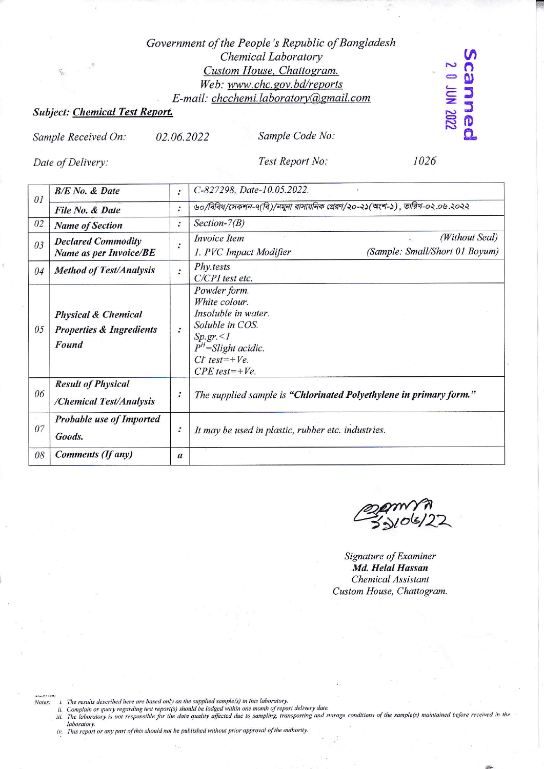## Government of the People's Republic of Bangladesh Chemical Laboratory Custom House, Chattogram. Web: www.chc.gov.bd/reports E-mail: chcchemi.laboratory@gmail.com

## **Subject: Chemical Test Report.**

02.06.2022 Sample Received On:

Sample Code No:

Date of Delivery:

Test Report No:

1026

**2002 NOL 0 2** canneo

| 0I | <b>B/E</b> No. & Date                                                          | :                | C-827298, Date-10.05.2022.                                                                                                                               |
|----|--------------------------------------------------------------------------------|------------------|----------------------------------------------------------------------------------------------------------------------------------------------------------|
|    | File No. & Date                                                                | $\ddot{\cdot}$   | ৬০/বিবিধ/সেকশন-৭(বি)/নমুনা রাসায়নিক প্রেরণ/২০-২১(অংশ-১), তারিখ-০২.০৬.২০২২                                                                               |
| 02 | <b>Name of Section</b>                                                         | $\ddot{\cdot}$   | Section- $7(B)$                                                                                                                                          |
| 03 | <b>Declared Commodity</b><br>Name as per Invoice/BE                            | $\cdot$          | (Without Seal)<br><i>Invoice Item</i><br>(Sample: Small/Short 01 Boyum)<br>1. PVC Impact Modifier                                                        |
| 04 | <b>Method of Test/Analysis</b>                                                 | $\cdot$          | Phy.tests<br>C/CPI test etc.                                                                                                                             |
| 05 | <b>Physical &amp; Chemical</b><br><b>Properties &amp; Ingredients</b><br>Found | $\ddot{\cdot}$   | Powder form.<br>White colour.<br>Insoluble in water.<br>Soluble in COS.<br>$Sp.gr. \leq l$<br>$PH$ =Slight acidic.<br>$C t$ test=+Ve.<br>$CPE$ test=+Ve. |
| 06 | <b>Result of Physical</b><br>/Chemical Test/Analysis                           | :                | The supplied sample is "Chlorinated Polyethylene in primary form."                                                                                       |
| 07 | Probable use of Imported<br>Goods.                                             | $\cdot$          | It may be used in plastic, rubber etc. industries.                                                                                                       |
| 08 | Comments (If any)                                                              | $\boldsymbol{a}$ |                                                                                                                                                          |

Signature of Examiner Md. Helal Hassan **Chemical Assistant** Custom House, Chattogram.

Notes:

- 
- " i. The results described here are based only on the supplied sample(s) in this laboratory.<br>ii. Complain or query regarding test report(s) should be lodged within one month of report delivery date.<br>iii. The laboratory is laboratory.
- iv. This report or any part of this should not be published without prior approval of the authority.